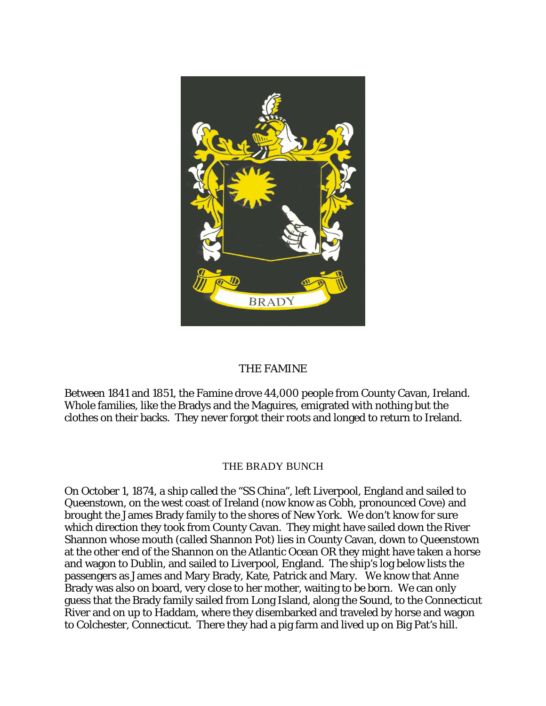

## THE FAMINE

Between 1841 and 1851, the Famine drove 44,000 people from County Cavan, Ireland. Whole families, like the Bradys and the Maguires, emigrated with nothing but the clothes on their backs. They never forgot their roots and longed to return to Ireland.

## THE BRADY BUNCH

On October 1, 1874, a ship called the "SS China", left Liverpool, England and sailed to Queenstown, on the west coast of Ireland (now know as Cobh, pronounced Cove) and brought the James Brady family to the shores of New York. We don't know for sure which direction they took from County Cavan. They might have sailed down the River Shannon whose mouth (called Shannon Pot) lies in County Cavan, down to Queenstown at the other end of the Shannon on the Atlantic Ocean OR they might have taken a horse and wagon to Dublin, and sailed to Liverpool, England. The ship's log below lists the passengers as James and Mary Brady, Kate, Patrick and Mary. We know that Anne Brady was also on board, very close to her mother, waiting to be born. We can only guess that the Brady family sailed from Long Island, along the Sound, to the Connecticut River and on up to Haddam, where they disembarked and traveled by horse and wagon to Colchester, Connecticut. There they had a pig farm and lived up on Big Pat's hill.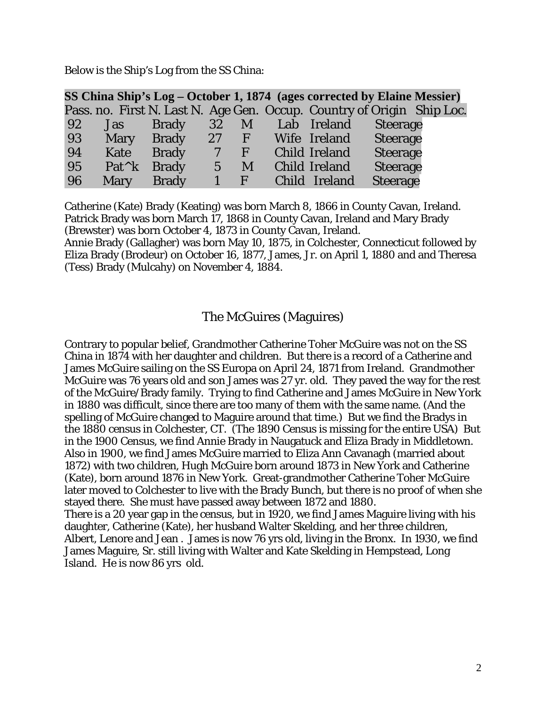Below is the Ship's Log from the SS China:

|    |                 | SS China Ship's Log – October 1, 1874 (ages corrected by Elaine Messier) |                          |                |                      |          |  |
|----|-----------------|--------------------------------------------------------------------------|--------------------------|----------------|----------------------|----------|--|
|    |                 | Pass. no. First N. Last N. Age Gen. Occup. Country of Origin Ship Loc.   |                          |                |                      |          |  |
| 92 | Jas             | Brady                                                                    | 32 M                     |                | Lab Ireland Steerage |          |  |
| 93 | Mary            | Brady                                                                    |                          | $27 \text{ F}$ | Wife Ireland         | Steerage |  |
| 94 | Kate            | <b>Brady</b>                                                             | $\overline{\mathcal{U}}$ | F              | Child Ireland        | Steerage |  |
| 95 | $Pat^{\wedge}k$ | <b>Brady</b>                                                             | $\overline{5}$           | M              | Child Ireland        | Steerage |  |
| 96 | Mary            | <b>Brady</b>                                                             | 1                        | $\angle F$     | Child Ireland        | Steerage |  |

Catherine (Kate) Brady (Keating) was born March 8, 1866 in County Cavan, Ireland. Patrick Brady was born March 17, 1868 in County Cavan, Ireland and Mary Brady (Brewster) was born October 4, 1873 in County Cavan, Ireland.

Annie Brady (Gallagher) was born May 10, 1875, in Colchester, Connecticut followed by Eliza Brady (Brodeur) on October 16, 1877, James, Jr. on April 1, 1880 and and Theresa (Tess) Brady (Mulcahy) on November 4, 1884.

## The McGuires (Maguires)

Contrary to popular belief, Grandmother Catherine Toher McGuire was not on the SS China in 1874 with her daughter and children. But there is a record of a Catherine and James McGuire sailing on the SS Europa on April 24, 1871 from Ireland. Grandmother McGuire was 76 years old and son James was 27 yr. old. They paved the way for the rest of the McGuire/Brady family. Trying to find Catherine and James McGuire in New York in 1880 was difficult, since there are too many of them with the same name. (And the spelling of McGuire changed to Maguire around that time.) But we find the Bradys in the 1880 census in Colchester, CT. (The 1890 Census is missing for the entire USA) But in the 1900 Census, we find Annie Brady in Naugatuck and Eliza Brady in Middletown. Also in 1900, we find James McGuire married to Eliza Ann Cavanagh (married about 1872) with two children, Hugh McGuire born around 1873 in New York and Catherine (Kate), born around 1876 in New York. Great-grandmother Catherine Toher McGuire later moved to Colchester to live with the Brady Bunch, but there is no proof of when she stayed there. She must have passed away between 1872 and 1880. There is a 20 year gap in the census, but in 1920, we find James Maguire living with his daughter, Catherine (Kate), her husband Walter Skelding, and her three children, Albert, Lenore and Jean . James is now 76 yrs old, living in the Bronx. In 1930, we find James Maguire, Sr. still living with Walter and Kate Skelding in Hempstead, Long Island. He is now 86 yrs old.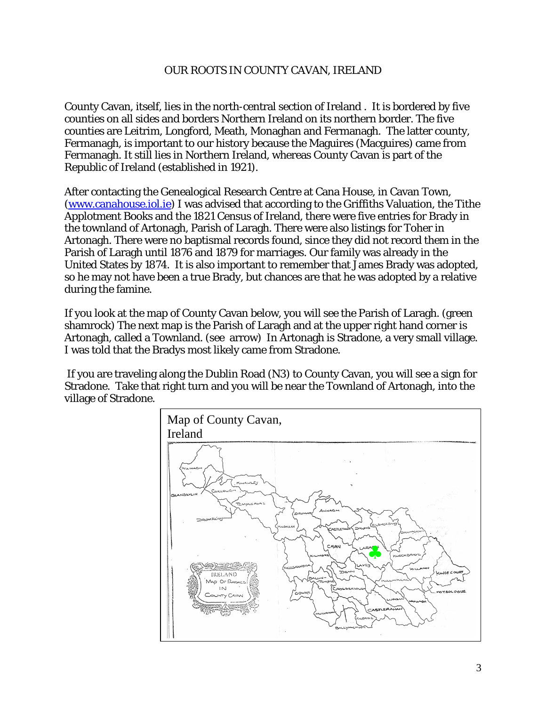## OUR ROOTS IN COUNTY CAVAN, IRELAND

County Cavan, itself, lies in the north-central section of Ireland . It is bordered by five counties on all sides and borders Northern Ireland on its northern border. The five counties are Leitrim, Longford, Meath, Monaghan and Fermanagh. The latter county, Fermanagh, is important to our history because the Maguires (Macguires) came from Fermanagh. It still lies in Northern Ireland, whereas County Cavan is part of the Republic of Ireland (established in 1921).

After contacting the Genealogical Research Centre at Cana House, in Cavan Town, (www.canahouse.iol.ie) I was advised that according to the Griffiths Valuation, the Tithe Applotment Books and the 1821 Census of Ireland, there were five entries for Brady in the townland of Artonagh, Parish of Laragh. There were also listings for Toher in Artonagh. There were no baptismal records found, since they did not record them in the Parish of Laragh until 1876 and 1879 for marriages. Our family was already in the United States by 1874. It is also important to remember that James Brady was adopted, so he may not have been a true Brady, but chances are that he was adopted by a relative during the famine.

If you look at the map of County Cavan below, you will see the Parish of Laragh. (green shamrock) The next map is the Parish of Laragh and at the upper right hand corner is Artonagh, called a Townland. (see arrow) In Artonagh is Stradone, a very small village. I was told that the Bradys most likely came from Stradone.

 If you are traveling along the Dublin Road (N3) to County Cavan, you will see a sign for Stradone. Take that right turn and you will be near the Townland of Artonagh, into the village of Stradone.

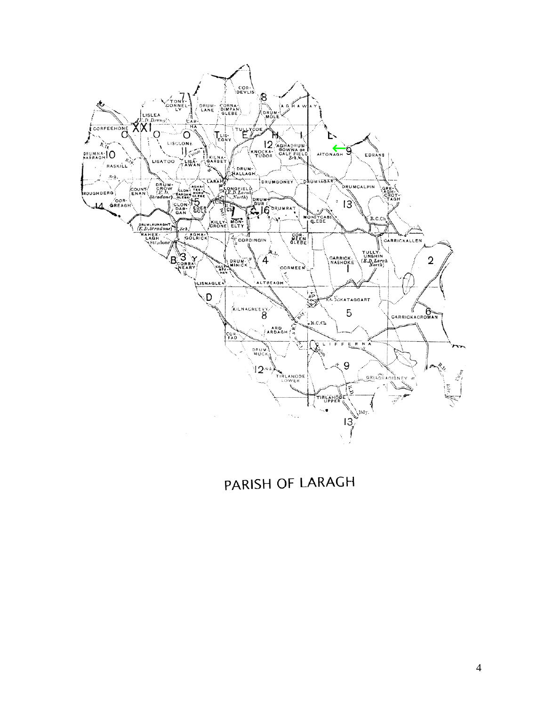

PARISH OF LARAGH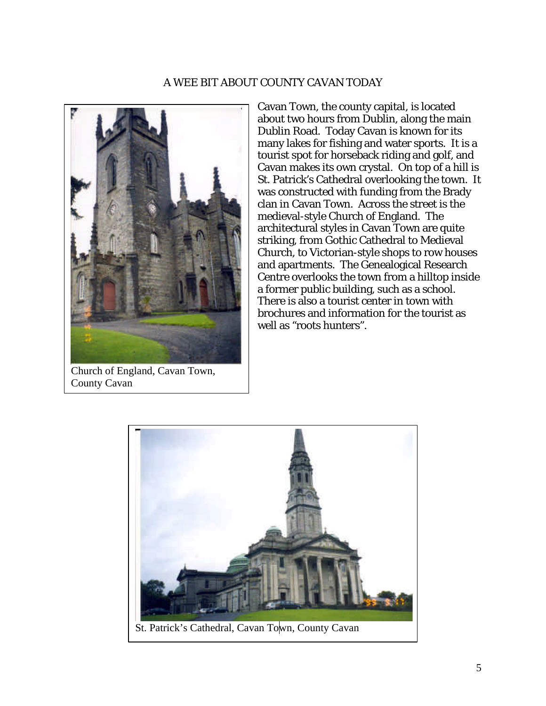## A WEE BIT ABOUT COUNTY CAVAN TODAY



Church of England, Cavan Town, County Cavan

Cavan Town, the county capital, is located about two hours from Dublin, along the main Dublin Road. Today Cavan is known for its many lakes for fishing and water sports. It is a tourist spot for horseback riding and golf, and Cavan makes its own crystal. On top of a hill is St. Patrick's Cathedral overlooking the town. It was constructed with funding from the Brady clan in Cavan Town. Across the street is the medieval-style Church of England. The architectural styles in Cavan Town are quite striking, from Gothic Cathedral to Medieval Church, to Victorian-style shops to row houses and apartments. The Genealogical Research Centre overlooks the town from a hilltop inside a former public building, such as a school. There is also a tourist center in town with brochures and information for the tourist as well as "roots hunters".

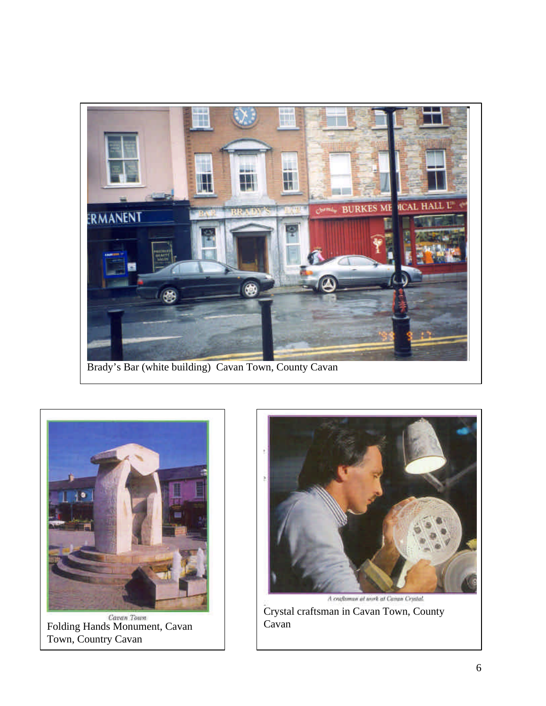

Brady's Bar (white building) Cavan Town, County Cavan



Folding Hands Monument, Cavan Town, Country Cavan



Crystal craftsman in Cavan Town, County Cavan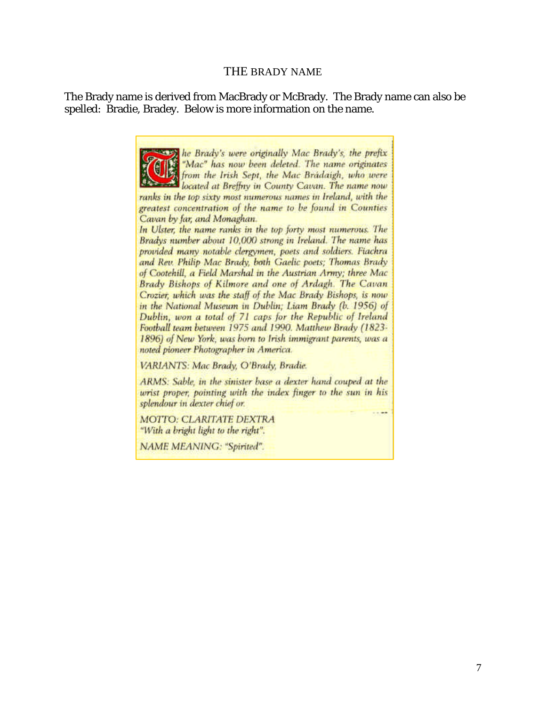#### THE BRADY NAME

The Brady name is derived from MacBrady or McBrady. The Brady name can also be spelled: Bradie, Bradey. Below is more information on the name.

> the Brady's were originally Mac Brady's, the prefix "Mac" has now been deleted. The name originates from the Irish Sept, the Mac Bradaigh, who were<br>located at Breffny in County Cavan. The name now ranks in the top sixty most numerous names in Ireland, with the greatest concentration of the name to be found in Counties Cavan by far, and Monaghan. In Ulster, the name ranks in the top forty most numerous. The Bradys number about 10,000 strong in Ireland. The name has provided many notable clergymen, poets and soldiers. Fiachra and Rev. Philip Mac Brady, both Gaelic poets; Thomas Brady

> of Cootehill, a Field Marshal in the Austrian Army; three Mac Brady Bishops of Kilmore and one of Ardagh. The Cavan Crozier, which was the staff of the Mac Brady Bishops, is now in the National Museum in Dublin: Liam Brady (b. 1956) of Dublin, won a total of 71 caps for the Republic of Ireland Football team between 1975 and 1990. Matthew Brady (1823-1896) of New York, was born to Irish immigrant parents, was a noted pioneer Photographer in America.

VARIANTS: Mac Brady, O'Brady, Bradie.

ARMS: Sable, in the sinister base a dexter hand couped at the wrist proper, pointing with the index finger to the sun in his splendour in dexter chief or.

**MOTTO: CLARITATE DEXTRA** "With a bright light to the right".

NAME MEANING: "Spirited".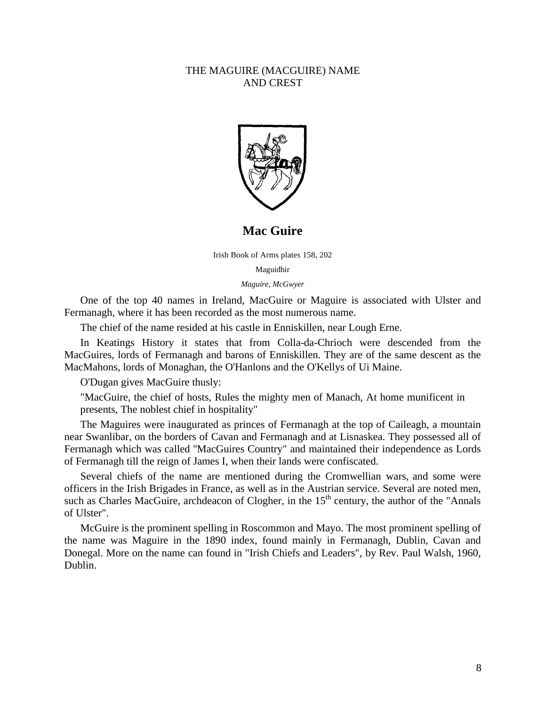#### THE MAGUIRE (MACGUIRE) NAME AND CREST



**Mac Guire**

Irish Book of Arms plates 158, 202

Maguidhir

*Maguire, McGwyer*

One of the top 40 names in Ireland, MacGuire or Maguire is associated with Ulster and Fermanagh, where it has been recorded as the most numerous name.

The chief of the name resided at his castle in Enniskillen, near Lough Erne.

In Keatings History it states that from Colla-da-Chrioch were descended from the MacGuires, lords of Fermanagh and barons of Enniskillen. They are of the same descent as the MacMahons, lords of Monaghan, the O'Hanlons and the O'Kellys of Ui Maine.

O'Dugan gives MacGuire thusly:

"MacGuire, the chief of hosts, Rules the mighty men of Manach, At home munificent in presents, The noblest chief in hospitality"

The Maguires were inaugurated as princes of Fermanagh at the top of Caileagh, a mountain near Swanlibar, on the borders of Cavan and Fermanagh and at Lisnaskea. They possessed all of Fermanagh which was called ''MacGuires Country" and maintained their independence as Lords of Fermanagh till the reign of James I, when their lands were confiscated.

Several chiefs of the name are mentioned during the Cromwellian wars, and some were officers in the Irish Brigades in France, as well as in the Austrian service. Several are noted men, such as Charles MacGuire, archdeacon of Clogher, in the  $15<sup>th</sup>$  century, the author of the "Annals" of Ulster".

McGuire is the prominent spelling in Roscommon and Mayo. The most prominent spelling of the name was Maguire in the 1890 index, found mainly in Fermanagh, Dublin, Cavan and Donegal. More on the name can found in "Irish Chiefs and Leaders", by Rev. Paul Walsh, 1960, Dublin.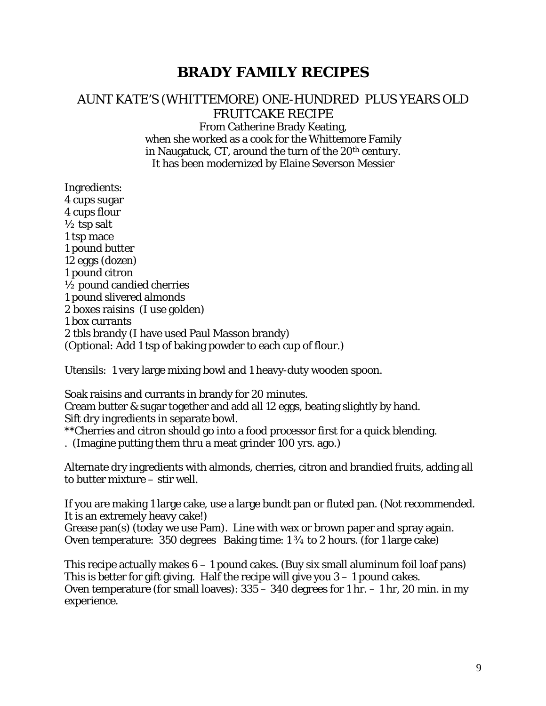# **BRADY FAMILY RECIPES**

## AUNT KATE'S (WHITTEMORE) ONE-HUNDRED PLUS YEARS OLD FRUITCAKE RECIPE

From Catherine Brady Keating, when she worked as a cook for the Whittemore Family in Naugatuck, CT, around the turn of the 20<sup>th</sup> century. It has been modernized by Elaine Severson Messier

Ingredients: 4 cups sugar 4 cups flour  $\frac{1}{2}$  tsp salt 1 tsp mace 1 pound butter 12 eggs (dozen) 1 pound citron  $\frac{1}{2}$  pound candied cherries 1 pound slivered almonds 2 boxes raisins (I use golden) 1 box currants 2 tbls brandy (I have used Paul Masson brandy) (Optional: Add 1 tsp of baking powder to each cup of flour.)

Utensils: 1 very large mixing bowl and 1 heavy-duty wooden spoon.

Soak raisins and currants in brandy for 20 minutes. Cream butter & sugar together and add all 12 eggs, beating slightly by hand. Sift dry ingredients in separate bowl.

\*\*Cherries and citron should go into a food processor first for a quick blending.

. (Imagine putting them thru a meat grinder 100 yrs. ago.)

Alternate dry ingredients with almonds, cherries, citron and brandied fruits, adding all to butter mixture – stir well.

If you are making 1 large cake, use a large bundt pan or fluted pan. (Not recommended. It is an extremely heavy cake!)

Grease pan(s) (today we use Pam). Line with wax or brown paper and spray again. Oven temperature: 350 degrees Baking time: 1 ¾ to 2 hours. (for 1 large cake)

This recipe actually makes  $6 - 1$  pound cakes. (Buy six small aluminum foil loaf pans) This is better for gift giving. Half the recipe will give you  $3 - 1$  pound cakes. Oven temperature (for small loaves): 335 – 340 degrees for 1 hr. – 1 hr, 20 min. in my experience.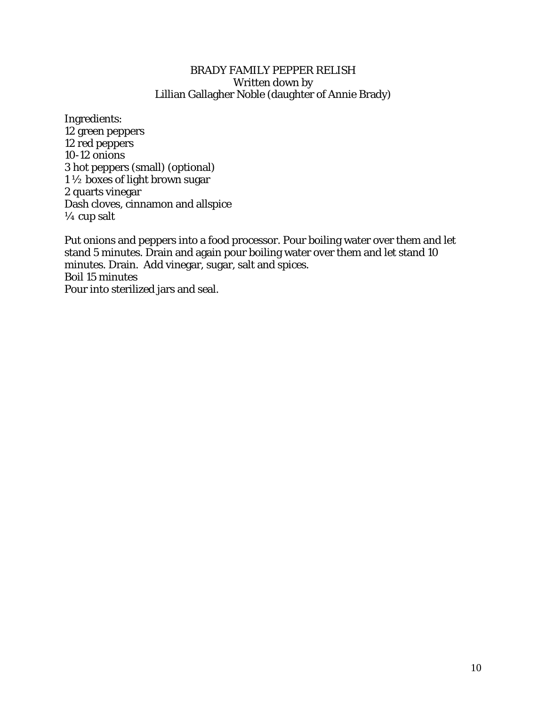#### BRADY FAMILY PEPPER RELISH Written down by Lillian Gallagher Noble (daughter of Annie Brady)

Ingredients: 12 green peppers 12 red peppers 10-12 onions 3 hot peppers (small) (optional) 1 ½ boxes of light brown sugar 2 quarts vinegar Dash cloves, cinnamon and allspice  $\frac{1}{4}$  cup salt

Put onions and peppers into a food processor. Pour boiling water over them and let stand 5 minutes. Drain and again pour boiling water over them and let stand 10 minutes. Drain. Add vinegar, sugar, salt and spices. Boil 15 minutes Pour into sterilized jars and seal.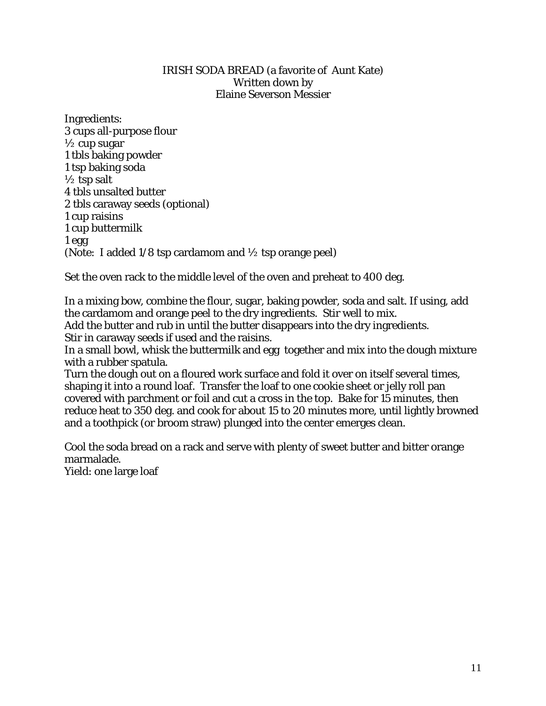#### IRISH SODA BREAD (a favorite of Aunt Kate) Written down by Elaine Severson Messier

Ingredients: 3 cups all-purpose flour  $\frac{1}{2}$  cup sugar 1 tbls baking powder 1 tsp baking soda  $\frac{1}{2}$  tsp salt 4 tbls unsalted butter 2 tbls caraway seeds (optional) 1 cup raisins 1 cup buttermilk 1 egg (Note: I added 1/8 tsp cardamom and ½ tsp orange peel)

Set the oven rack to the middle level of the oven and preheat to 400 deg.

In a mixing bow, combine the flour, sugar, baking powder, soda and salt. If using, add the cardamom and orange peel to the dry ingredients. Stir well to mix. Add the butter and rub in until the butter disappears into the dry ingredients. Stir in caraway seeds if used and the raisins.

In a small bowl, whisk the buttermilk and egg together and mix into the dough mixture with a rubber spatula.

Turn the dough out on a floured work surface and fold it over on itself several times, shaping it into a round loaf. Transfer the loaf to one cookie sheet or jelly roll pan covered with parchment or foil and cut a cross in the top. Bake for 15 minutes, then reduce heat to 350 deg. and cook for about 15 to 20 minutes more, until lightly browned and a toothpick (or broom straw) plunged into the center emerges clean.

Cool the soda bread on a rack and serve with plenty of sweet butter and bitter orange marmalade.

Yield: one large loaf